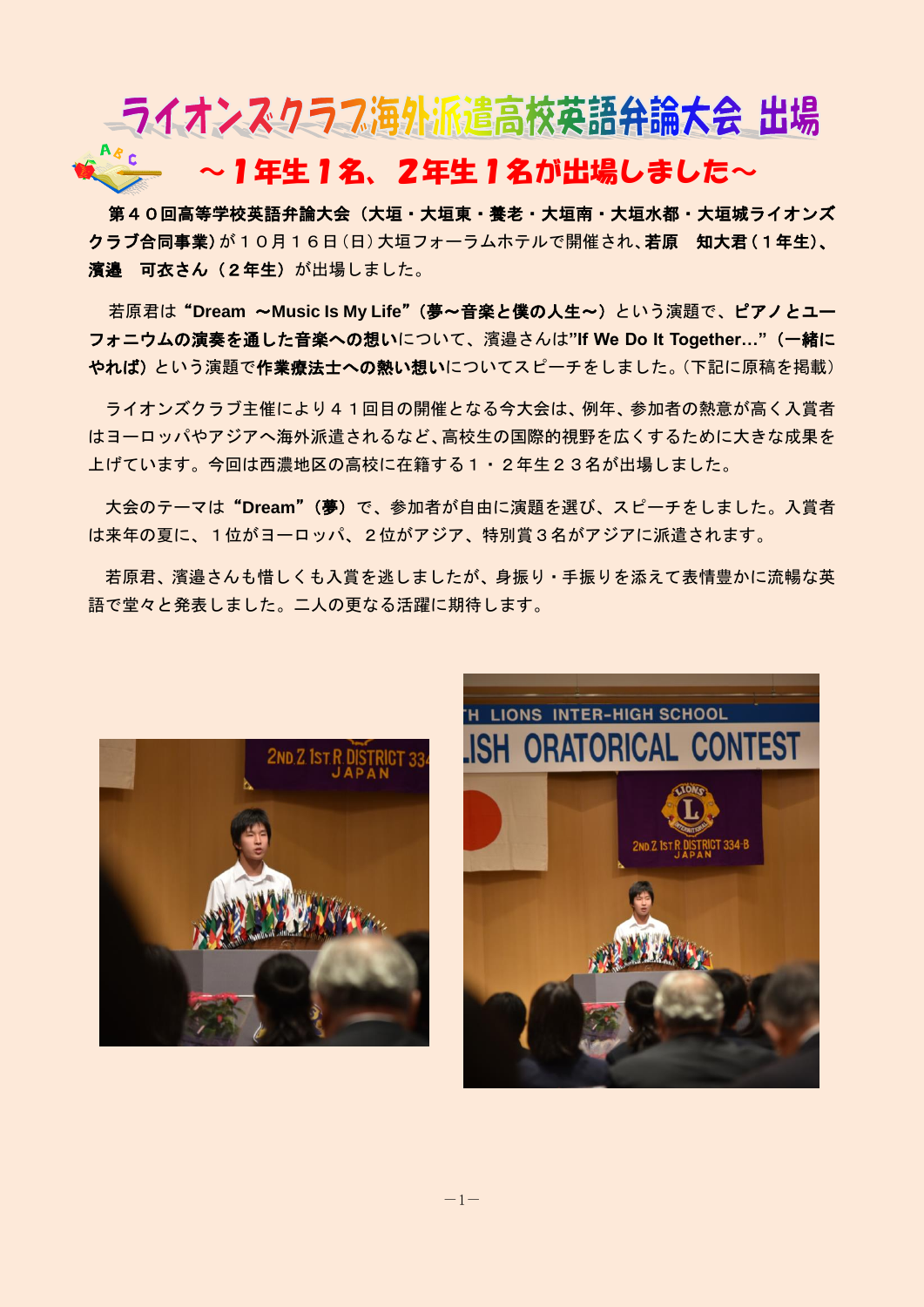## ■ライオンスクラフ海外派遣高校英語弁論大会 出場 ~1年生1名、2年生1名が出場しました~

第40回高等学校英語弁論大会(大垣・大垣東・養老・大垣南・大垣水都・大垣城ライオンズ クラブ合同事業)が10月16日(日)大垣フォーラムホテルで開催され、若原 知大君(1年生)、 濱邉 可衣さん(2年生)が出場しました。

若原君は"**Dream** ~**Music Is My Life**"(夢~音楽と僕の人生~)という演題で、ピアノとユー フォニウムの演奏を通した音楽への想いについて、濱邉さんは**"If We Do It Together…"**(一緒に やれば)という演題で作業療法士への熱い想いについてスピーチをしました。(下記に原稿を掲載)

ライオンズクラブ主催により41回目の開催となる今大会は、例年、参加者の熱意が高く入賞者 はヨーロッパやアジアへ海外派遣されるなど、高校生の国際的視野を広くするために大きな成果を 上げています。今回は西濃地区の高校に在籍する1・2年生23名が出場しました。

大会のテーマは"**Dream**"(夢)で、参加者が自由に演題を選び、スピーチをしました。入賞者 は来年の夏に、1位がヨーロッパ、2位がアジア、特別賞3名がアジアに派遣されます。

若原君、濱邉さんも惜しくも入賞を逃しましたが、身振り・手振りを添えて表情豊かに流暢な英 語で堂々と発表しました。二人の更なる活躍に期待します。



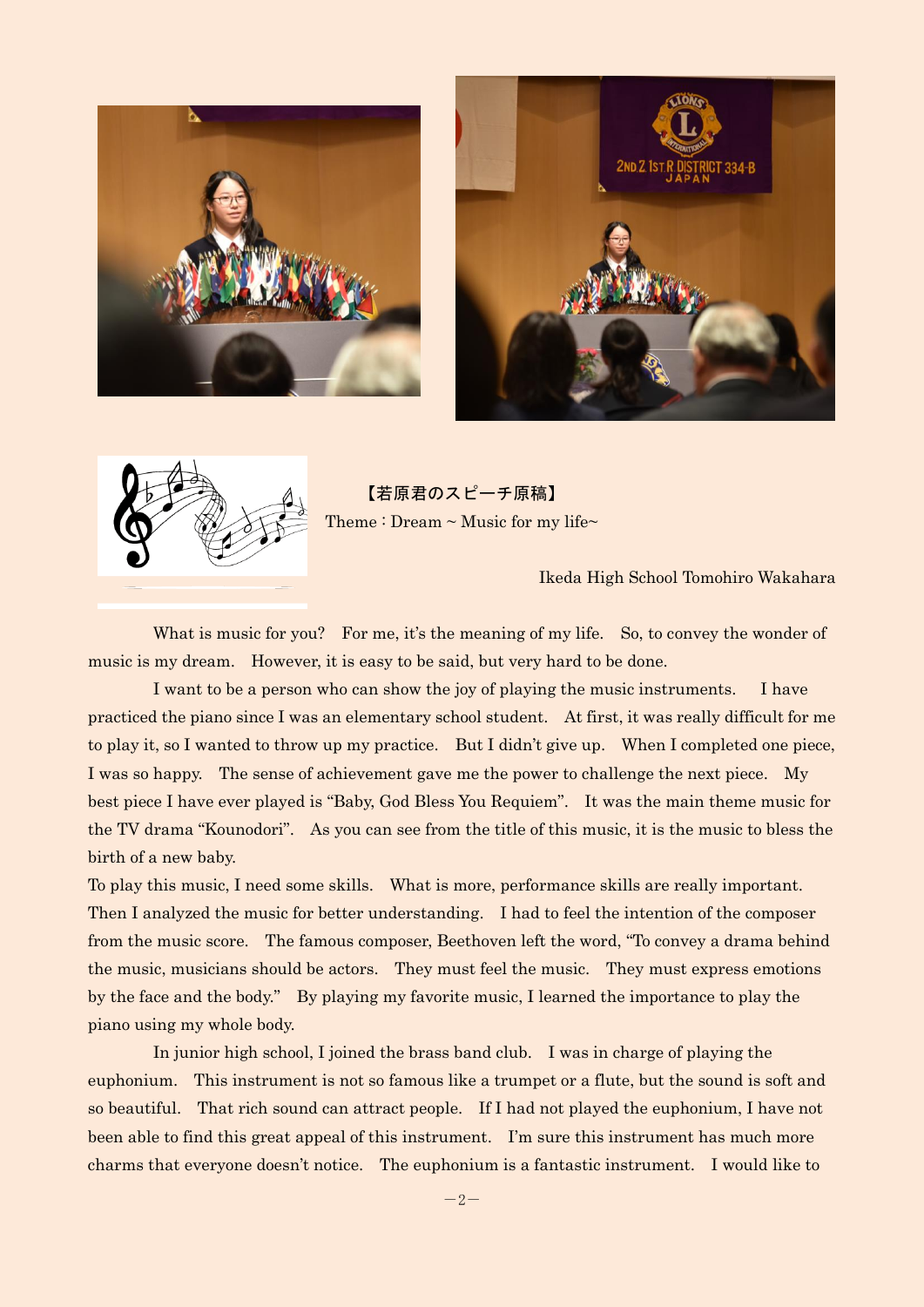





【若原君のスピーチ原稿】 Theme : Dream  $\sim$  Music for my life $\sim$ 

Ikeda High School Tomohiro Wakahara

What is music for you? For me, it's the meaning of my life. So, to convey the wonder of music is my dream. However, it is easy to be said, but very hard to be done.

I want to be a person who can show the joy of playing the music instruments. I have practiced the piano since I was an elementary school student. At first, it was really difficult for me to play it, so I wanted to throw up my practice. But I didn't give up. When I completed one piece, I was so happy. The sense of achievement gave me the power to challenge the next piece. My best piece I have ever played is "Baby, God Bless You Requiem". It was the main theme music for the TV drama "Kounodori". As you can see from the title of this music, it is the music to bless the birth of a new baby.

To play this music, I need some skills. What is more, performance skills are really important. Then I analyzed the music for better understanding. I had to feel the intention of the composer from the music score. The famous composer, Beethoven left the word, "To convey a drama behind the music, musicians should be actors. They must feel the music. They must express emotions by the face and the body." By playing my favorite music, I learned the importance to play the piano using my whole body.

In junior high school, I joined the brass band club. I was in charge of playing the euphonium. This instrument is not so famous like a trumpet or a flute, but the sound is soft and so beautiful. That rich sound can attract people. If I had not played the euphonium, I have not been able to find this great appeal of this instrument. I'm sure this instrument has much more charms that everyone doesn't notice. The euphonium is a fantastic instrument. I would like to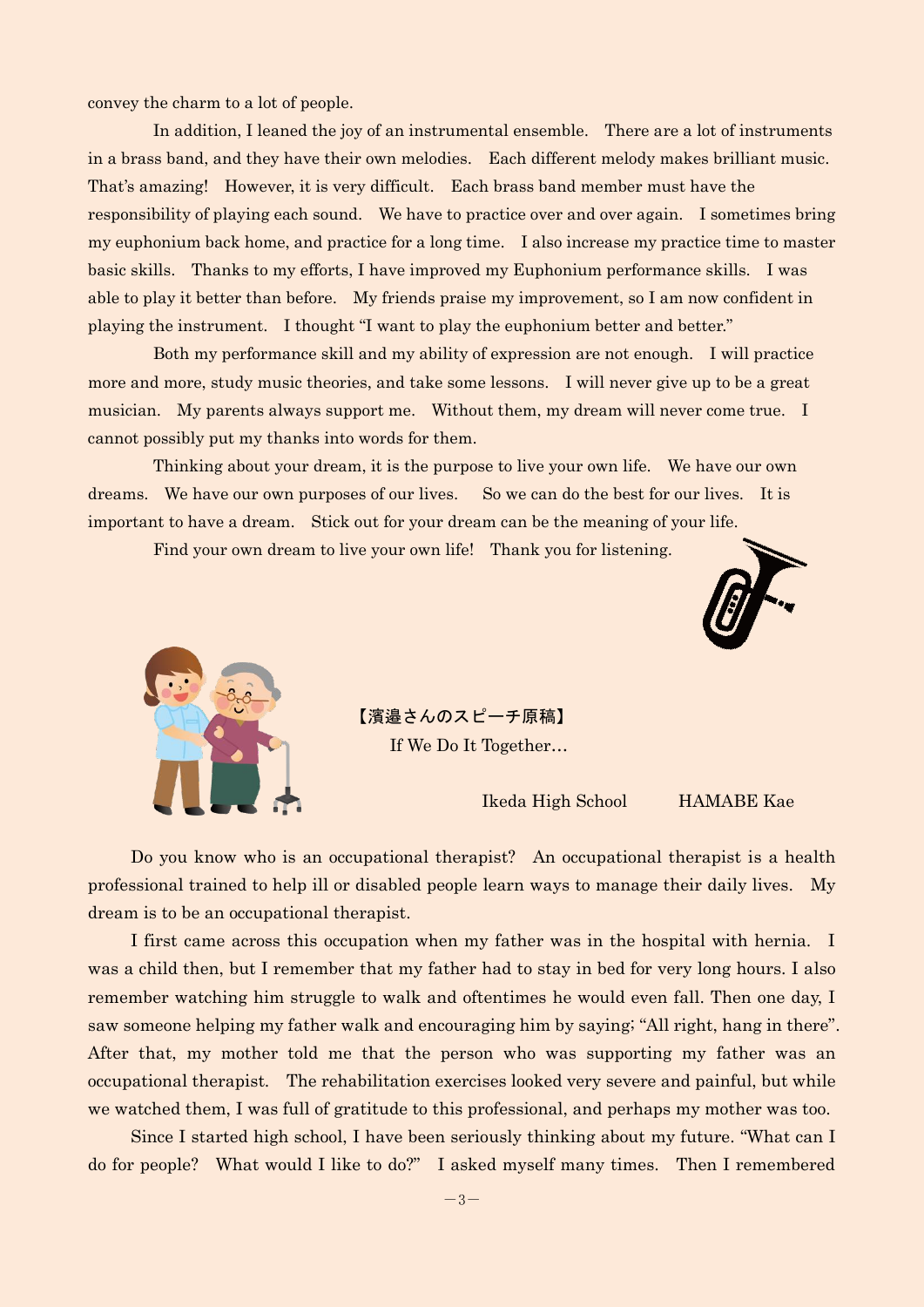convey the charm to a lot of people.

In addition, I leaned the joy of an instrumental ensemble. There are a lot of instruments in a brass band, and they have their own melodies. Each different melody makes brilliant music. That's amazing! However, it is very difficult. Each brass band member must have the responsibility of playing each sound. We have to practice over and over again. I sometimes bring my euphonium back home, and practice for a long time. I also increase my practice time to master basic skills. Thanks to my efforts, I have improved my Euphonium performance skills. I was able to play it better than before. My friends praise my improvement, so I am now confident in playing the instrument. I thought "I want to play the euphonium better and better."

Both my performance skill and my ability of expression are not enough. I will practice more and more, study music theories, and take some lessons. I will never give up to be a great musician. My parents always support me. Without them, my dream will never come true. I cannot possibly put my thanks into words for them.

Thinking about your dream, it is the purpose to live your own life. We have our own dreams. We have our own purposes of our lives. So we can do the best for our lives. It is important to have a dream. Stick out for your dream can be the meaning of your life.

Find your own dream to live your own life! Thank you for listening.





【濱邉さんのスピーチ原稿】

If We Do It Together…

Ikeda High School HAMABE Kae

Do you know who is an occupational therapist? An occupational therapist is a [health](http://ejje.weblio.jp/content/health+professional)  [professional](http://ejje.weblio.jp/content/health+professional) [trained](http://ejje.weblio.jp/content/trained) [to help](http://ejje.weblio.jp/content/to+help) ill or disabled [people](http://ejje.weblio.jp/content/people) learn ways to [manage](http://ejje.weblio.jp/content/manage) their [daily](http://ejje.weblio.jp/content/daily) lives. My dream is to be an occupational therapist.

 I first came across this occupation when my father was in the hospital with hernia. I was a child then, but I remember that my father had to stay in bed for very long hours. I also remember watching him struggle to walk and oftentimes he would even fall. Then one day, I saw someone helping my father walk and encouraging him by saying; "All right, hang in there". After that, my mother told me that the person who was supporting my father was an occupational therapist. The rehabilitation exercises looked very severe and painful, but while we watched them, I was full of gratitude to this professional, and perhaps my mother was too.

 Since I started high school, I have been seriously thinking about my future. "What can I do for people? What would I like to do?" I asked myself many times. Then I remembered